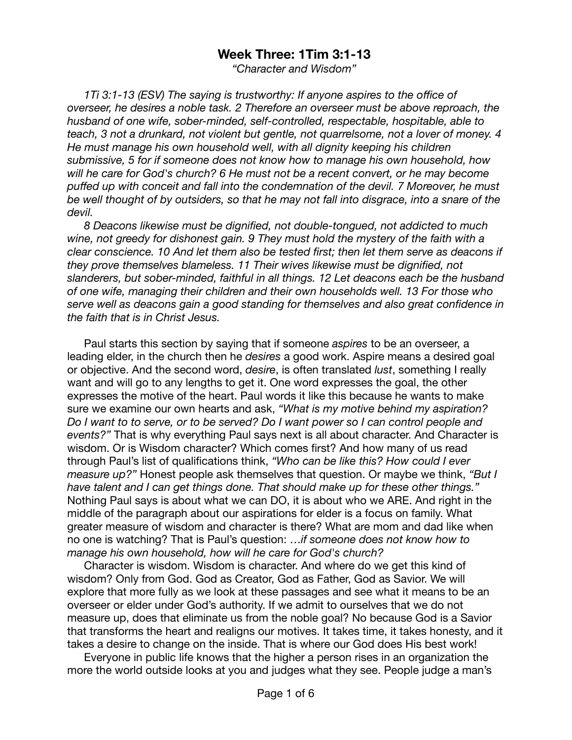## **Week Three: 1Tim 3:1-13**

*"Character and Wisdom"* 

*1Ti 3:1-13 (ESV) The saying is trustworthy: If anyone aspires to the office of overseer, he desires a noble task. 2 Therefore an overseer must be above reproach, the husband of one wife, sober-minded, self-controlled, respectable, hospitable, able to teach, 3 not a drunkard, not violent but gentle, not quarrelsome, not a lover of money. 4 He must manage his own household well, with all dignity keeping his children submissive, 5 for if someone does not know how to manage his own household, how will he care for God's church? 6 He must not be a recent convert, or he may become puffed up with conceit and fall into the condemnation of the devil. 7 Moreover, he must be well thought of by outsiders, so that he may not fall into disgrace, into a snare of the devil.* 

*8 Deacons likewise must be dignified, not double-tongued, not addicted to much wine, not greedy for dishonest gain. 9 They must hold the mystery of the faith with a clear conscience. 10 And let them also be tested first; then let them serve as deacons if they prove themselves blameless. 11 Their wives likewise must be dignified, not slanderers, but sober-minded, faithful in all things. 12 Let deacons each be the husband of one wife, managing their children and their own households well. 13 For those who serve well as deacons gain a good standing for themselves and also great confidence in the faith that is in Christ Jesus.* 

Paul starts this section by saying that if someone *aspires* to be an overseer, a leading elder, in the church then he *desires* a good work. Aspire means a desired goal or objective. And the second word, *desire*, is often translated *lust*, something I really want and will go to any lengths to get it. One word expresses the goal, the other expresses the motive of the heart. Paul words it like this because he wants to make sure we examine our own hearts and ask, *"What is my motive behind my aspiration? Do I want to to serve, or to be served? Do I want power so I can control people and events?"* That is why everything Paul says next is all about character. And Character is wisdom. Or is Wisdom character? Which comes first? And how many of us read through Paul's list of qualifications think, *"Who can be like this? How could I ever measure up?"* Honest people ask themselves that question. Or maybe we think, *"But I have talent and I can get things done. That should make up for these other things."*  Nothing Paul says is about what we can DO, it is about who we ARE. And right in the middle of the paragraph about our aspirations for elder is a focus on family. What greater measure of wisdom and character is there? What are mom and dad like when no one is watching? That is Paul's question: …*if someone does not know how to manage his own household, how will he care for God's church?* 

Character is wisdom. Wisdom is character. And where do we get this kind of wisdom? Only from God. God as Creator, God as Father, God as Savior. We will explore that more fully as we look at these passages and see what it means to be an overseer or elder under God's authority. If we admit to ourselves that we do not measure up, does that eliminate us from the noble goal? No because God is a Savior that transforms the heart and realigns our motives. It takes time, it takes honesty, and it takes a desire to change on the inside. That is where our God does His best work!

Everyone in public life knows that the higher a person rises in an organization the more the world outside looks at you and judges what they see. People judge a man's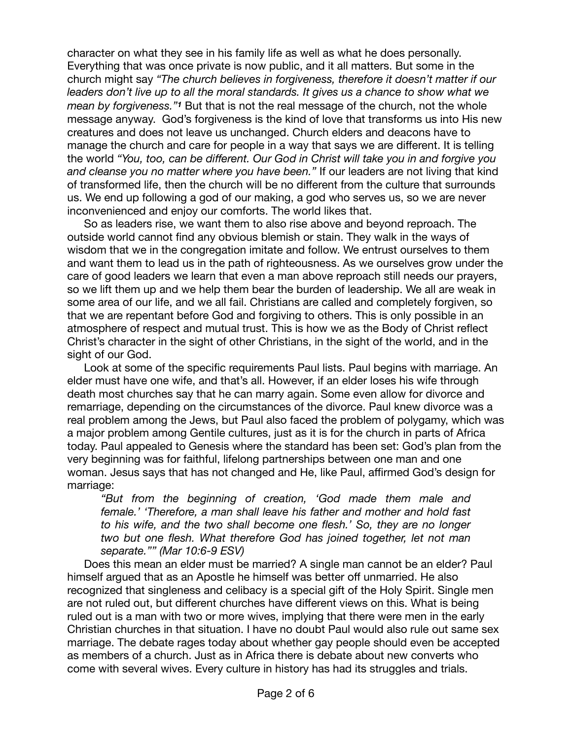character on what they see in his family life as well as what he does personally. Everything that was once private is now public, and it all matters. But some in the church might say *"The church believes in forgiveness, therefore it doesn't matter if our*  leaders don't live up to all the moral standards. It gives us a chance to show what we *mean by forgiveness."1* But that is not the real message of the church, not the whole message anyway. God's forgiveness is the kind of love that transforms us into His new creatures and does not leave us unchanged. Church elders and deacons have to manage the church and care for people in a way that says we are different. It is telling the world *"You, too, can be different. Our God in Christ will take you in and forgive you and cleanse you no matter where you have been."* If our leaders are not living that kind of transformed life, then the church will be no different from the culture that surrounds us. We end up following a god of our making, a god who serves us, so we are never inconvenienced and enjoy our comforts. The world likes that.

So as leaders rise, we want them to also rise above and beyond reproach. The outside world cannot find any obvious blemish or stain. They walk in the ways of wisdom that we in the congregation imitate and follow. We entrust ourselves to them and want them to lead us in the path of righteousness. As we ourselves grow under the care of good leaders we learn that even a man above reproach still needs our prayers, so we lift them up and we help them bear the burden of leadership. We all are weak in some area of our life, and we all fail. Christians are called and completely forgiven, so that we are repentant before God and forgiving to others. This is only possible in an atmosphere of respect and mutual trust. This is how we as the Body of Christ reflect Christ's character in the sight of other Christians, in the sight of the world, and in the sight of our God.

Look at some of the specific requirements Paul lists. Paul begins with marriage. An elder must have one wife, and that's all. However, if an elder loses his wife through death most churches say that he can marry again. Some even allow for divorce and remarriage, depending on the circumstances of the divorce. Paul knew divorce was a real problem among the Jews, but Paul also faced the problem of polygamy, which was a major problem among Gentile cultures, just as it is for the church in parts of Africa today. Paul appealed to Genesis where the standard has been set: God's plan from the very beginning was for faithful, lifelong partnerships between one man and one woman. Jesus says that has not changed and He, like Paul, affirmed God's design for marriage:

*"But from the beginning of creation, 'God made them male and female.' 'Therefore, a man shall leave his father and mother and hold fast to his wife, and the two shall become one flesh.' So, they are no longer two but one flesh. What therefore God has joined together, let not man separate."" (Mar 10:6-9 ESV)* 

Does this mean an elder must be married? A single man cannot be an elder? Paul himself argued that as an Apostle he himself was better off unmarried. He also recognized that singleness and celibacy is a special gift of the Holy Spirit. Single men are not ruled out, but different churches have different views on this. What is being ruled out is a man with two or more wives, implying that there were men in the early Christian churches in that situation. I have no doubt Paul would also rule out same sex marriage. The debate rages today about whether gay people should even be accepted as members of a church. Just as in Africa there is debate about new converts who come with several wives. Every culture in history has had its struggles and trials.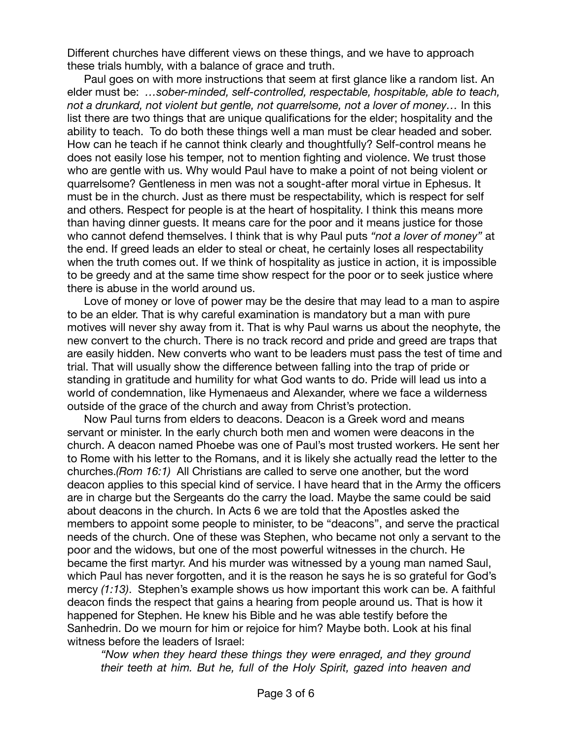Different churches have different views on these things, and we have to approach these trials humbly, with a balance of grace and truth.

Paul goes on with more instructions that seem at first glance like a random list. An elder must be: *…sober-minded, self-controlled, respectable, hospitable, able to teach, not a drunkard, not violent but gentle, not quarrelsome, not a lover of money…* In this list there are two things that are unique qualifications for the elder; hospitality and the ability to teach. To do both these things well a man must be clear headed and sober. How can he teach if he cannot think clearly and thoughtfully? Self-control means he does not easily lose his temper, not to mention fighting and violence. We trust those who are gentle with us. Why would Paul have to make a point of not being violent or quarrelsome? Gentleness in men was not a sought-after moral virtue in Ephesus. It must be in the church. Just as there must be respectability, which is respect for self and others. Respect for people is at the heart of hospitality. I think this means more than having dinner guests. It means care for the poor and it means justice for those who cannot defend themselves. I think that is why Paul puts *"not a lover of money"* at the end. If greed leads an elder to steal or cheat, he certainly loses all respectability when the truth comes out. If we think of hospitality as justice in action, it is impossible to be greedy and at the same time show respect for the poor or to seek justice where there is abuse in the world around us.

Love of money or love of power may be the desire that may lead to a man to aspire to be an elder. That is why careful examination is mandatory but a man with pure motives will never shy away from it. That is why Paul warns us about the neophyte, the new convert to the church. There is no track record and pride and greed are traps that are easily hidden. New converts who want to be leaders must pass the test of time and trial. That will usually show the difference between falling into the trap of pride or standing in gratitude and humility for what God wants to do. Pride will lead us into a world of condemnation, like Hymenaeus and Alexander, where we face a wilderness outside of the grace of the church and away from Christ's protection.

Now Paul turns from elders to deacons. Deacon is a Greek word and means servant or minister. In the early church both men and women were deacons in the church. A deacon named Phoebe was one of Paul's most trusted workers. He sent her to Rome with his letter to the Romans, and it is likely she actually read the letter to the churches.*(Rom 16:1)* All Christians are called to serve one another, but the word deacon applies to this special kind of service. I have heard that in the Army the officers are in charge but the Sergeants do the carry the load. Maybe the same could be said about deacons in the church. In Acts 6 we are told that the Apostles asked the members to appoint some people to minister, to be "deacons", and serve the practical needs of the church. One of these was Stephen, who became not only a servant to the poor and the widows, but one of the most powerful witnesses in the church. He became the first martyr. And his murder was witnessed by a young man named Saul, which Paul has never forgotten, and it is the reason he says he is so grateful for God's mercy *(1:13)*. Stephen's example shows us how important this work can be. A faithful deacon finds the respect that gains a hearing from people around us. That is how it happened for Stephen. He knew his Bible and he was able testify before the Sanhedrin. Do we mourn for him or rejoice for him? Maybe both. Look at his final witness before the leaders of Israel:

*"Now when they heard these things they were enraged, and they ground their teeth at him. But he, full of the Holy Spirit, gazed into heaven and*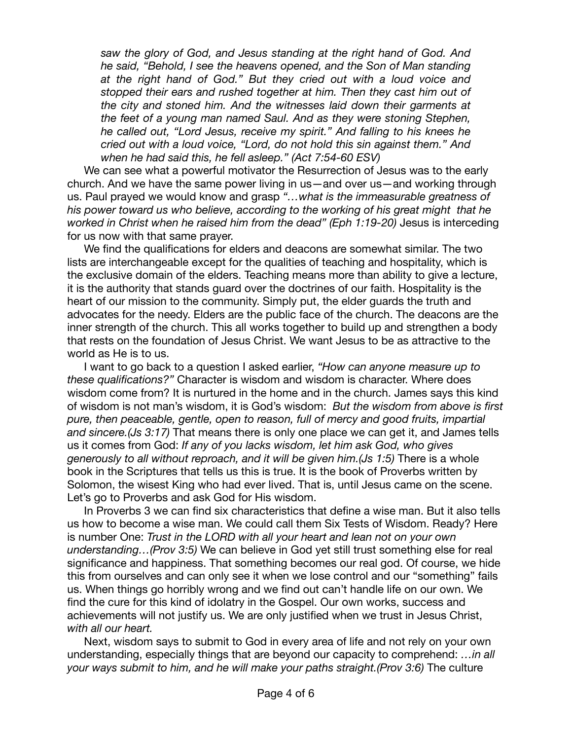*saw the glory of God, and Jesus standing at the right hand of God. And he said, "Behold, I see the heavens opened, and the Son of Man standing at the right hand of God." But they cried out with a loud voice and stopped their ears and rushed together at him. Then they cast him out of the city and stoned him. And the witnesses laid down their garments at the feet of a young man named Saul. And as they were stoning Stephen, he called out, "Lord Jesus, receive my spirit." And falling to his knees he cried out with a loud voice, "Lord, do not hold this sin against them." And when he had said this, he fell asleep." (Act 7:54-60 ESV)* 

We can see what a powerful motivator the Resurrection of Jesus was to the early church. And we have the same power living in us—and over us—and working through us. Paul prayed we would know and grasp *"…what is the immeasurable greatness of his power toward us who believe, according to the working of his great might that he worked in Christ when he raised him from the dead" (Eph 1:19-20)* Jesus is interceding for us now with that same prayer.

We find the qualifications for elders and deacons are somewhat similar. The two lists are interchangeable except for the qualities of teaching and hospitality, which is the exclusive domain of the elders. Teaching means more than ability to give a lecture, it is the authority that stands guard over the doctrines of our faith. Hospitality is the heart of our mission to the community. Simply put, the elder guards the truth and advocates for the needy. Elders are the public face of the church. The deacons are the inner strength of the church. This all works together to build up and strengthen a body that rests on the foundation of Jesus Christ. We want Jesus to be as attractive to the world as He is to us.

I want to go back to a question I asked earlier, *"How can anyone measure up to these qualifications?"* Character is wisdom and wisdom is character. Where does wisdom come from? It is nurtured in the home and in the church. James says this kind of wisdom is not man's wisdom, it is God's wisdom: *But the wisdom from above is first pure, then peaceable, gentle, open to reason, full of mercy and good fruits, impartial and sincere.(Js 3:17)* That means there is only one place we can get it, and James tells us it comes from God: *If any of you lacks wisdom, let him ask God, who gives generously to all without reproach, and it will be given him.(Js 1:5)* There is a whole book in the Scriptures that tells us this is true. It is the book of Proverbs written by Solomon, the wisest King who had ever lived. That is, until Jesus came on the scene. Let's go to Proverbs and ask God for His wisdom.

In Proverbs 3 we can find six characteristics that define a wise man. But it also tells us how to become a wise man. We could call them Six Tests of Wisdom. Ready? Here is number One: *Trust in the LORD with all your heart and lean not on your own understanding…(Prov 3:5)* We can believe in God yet still trust something else for real significance and happiness. That something becomes our real god. Of course, we hide this from ourselves and can only see it when we lose control and our "something" fails us. When things go horribly wrong and we find out can't handle life on our own. We find the cure for this kind of idolatry in the Gospel. Our own works, success and achievements will not justify us. We are only justified when we trust in Jesus Christ, *with all our heart.* 

Next, wisdom says to submit to God in every area of life and not rely on your own understanding, especially things that are beyond our capacity to comprehend: *…in all your ways submit to him, and he will make your paths straight.(Prov 3:6)* The culture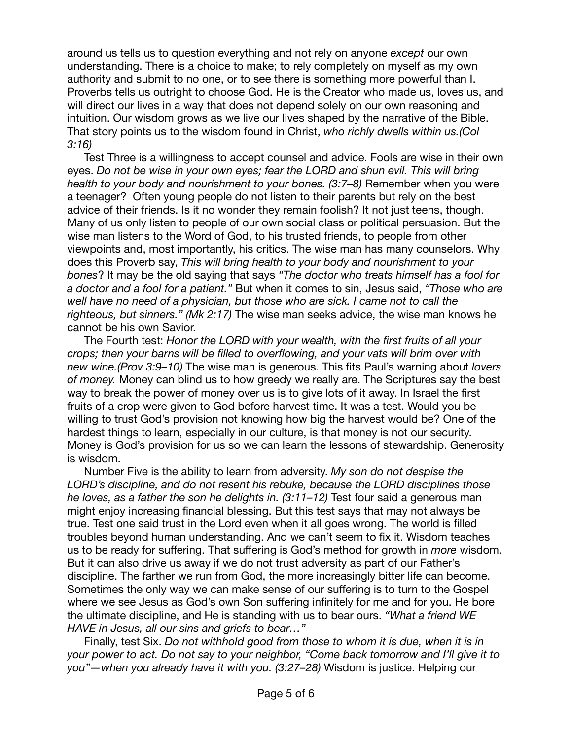around us tells us to question everything and not rely on anyone *except* our own understanding. There is a choice to make; to rely completely on myself as my own authority and submit to no one, or to see there is something more powerful than I. Proverbs tells us outright to choose God. He is the Creator who made us, loves us, and will direct our lives in a way that does not depend solely on our own reasoning and intuition. Our wisdom grows as we live our lives shaped by the narrative of the Bible. That story points us to the wisdom found in Christ, *who richly dwells within us.(Col 3:16)* 

Test Three is a willingness to accept counsel and advice. Fools are wise in their own eyes. *Do not be wise in your own eyes; fear the LORD and shun evil. This will bring health to your body and nourishment to your bones. (3:7–8)* Remember when you were a teenager? Often young people do not listen to their parents but rely on the best advice of their friends. Is it no wonder they remain foolish? It not just teens, though. Many of us only listen to people of our own social class or political persuasion. But the wise man listens to the Word of God, to his trusted friends, to people from other viewpoints and, most importantly, his critics. The wise man has many counselors. Why does this Proverb say, *This will bring health to your body and nourishment to your bones*? It may be the old saying that says *"The doctor who treats himself has a fool for a doctor and a fool for a patient."* But when it comes to sin, Jesus said, *"Those who are well have no need of a physician, but those who are sick. I came not to call the righteous, but sinners." (Mk 2:17)* The wise man seeks advice, the wise man knows he cannot be his own Savior.

The Fourth test: *Honor the LORD with your wealth, with the first fruits of all your crops; then your barns will be filled to overflowing, and your vats will brim over with new wine.(Prov 3:9–10)* The wise man is generous. This fits Paul's warning about *lovers of money.* Money can blind us to how greedy we really are. The Scriptures say the best way to break the power of money over us is to give lots of it away. In Israel the first fruits of a crop were given to God before harvest time. It was a test. Would you be willing to trust God's provision not knowing how big the harvest would be? One of the hardest things to learn, especially in our culture, is that money is not our security. Money is God's provision for us so we can learn the lessons of stewardship. Generosity is wisdom.

Number Five is the ability to learn from adversity. *My son do not despise the LORD's discipline, and do not resent his rebuke, because the LORD disciplines those he loves, as a father the son he delights in. (3:11–12)* Test four said a generous man might enjoy increasing financial blessing. But this test says that may not always be true. Test one said trust in the Lord even when it all goes wrong. The world is filled troubles beyond human understanding. And we can't seem to fix it. Wisdom teaches us to be ready for suffering. That suffering is God's method for growth in *more* wisdom. But it can also drive us away if we do not trust adversity as part of our Father's discipline. The farther we run from God, the more increasingly bitter life can become. Sometimes the only way we can make sense of our suffering is to turn to the Gospel where we see Jesus as God's own Son suffering infinitely for me and for you. He bore the ultimate discipline, and He is standing with us to bear ours. *"What a friend WE HAVE in Jesus, all our sins and griefs to bear…"* 

Finally, test Six. *Do not withhold good from those to whom it is due, when it is in your power to act. Do not say to your neighbor, "Come back tomorrow and I'll give it to you"—when you already have it with you. (3:27–28)* Wisdom is justice. Helping our